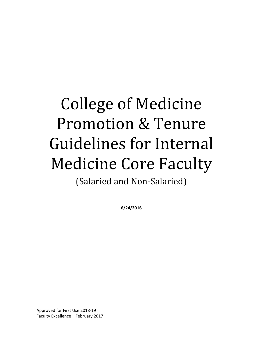# College of Medicine Promotion & Tenure Guidelines for Internal Medicine Core Faculty

(Salaried and Non-Salaried)

**6/24/2016**

Approved for First Use 2018-19 Faculty Excellence – February 2017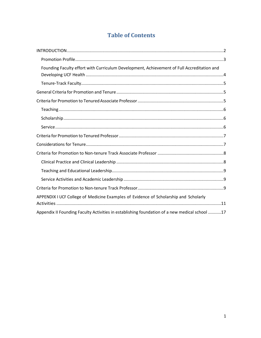# **Table of Contents**

| Founding Faculty effort with Curriculum Development, Achievement of Full Accreditation and    |
|-----------------------------------------------------------------------------------------------|
|                                                                                               |
|                                                                                               |
|                                                                                               |
|                                                                                               |
|                                                                                               |
|                                                                                               |
|                                                                                               |
|                                                                                               |
|                                                                                               |
|                                                                                               |
|                                                                                               |
|                                                                                               |
|                                                                                               |
| APPENDIX I UCF College of Medicine Examples of Evidence of Scholarship and Scholarly          |
| Appendix II Founding Faculty Activities in establishing foundation of a new medical school 17 |
|                                                                                               |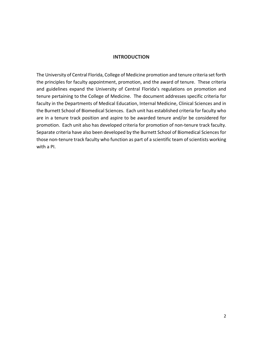#### **INTRODUCTION**

<span id="page-2-0"></span>The University of Central Florida, College of Medicine promotion and tenure criteria set forth the principles for faculty appointment, promotion, and the award of tenure. These criteria and guidelines expand the University of Central Florida's regulations on promotion and tenure pertaining to the College of Medicine. The document addresses specific criteria for faculty in the Departments of Medical Education, Internal Medicine, Clinical Sciences and in the Burnett School of Biomedical Sciences. Each unit has established criteria for faculty who are in a tenure track position and aspire to be awarded tenure and/or be considered for promotion. Each unit also has developed criteria for promotion of non-tenure track faculty. Separate criteria have also been developed by the Burnett School of Biomedical Sciences for those non-tenure track faculty who function as part of a scientific team of scientists working with a PI.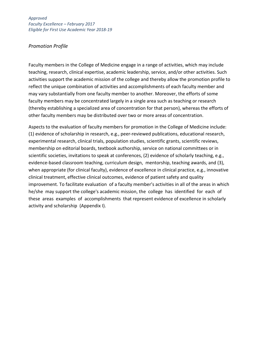## <span id="page-3-0"></span>*Promotion Profile*

Faculty members in the College of Medicine engage in a range of activities, which may include teaching, research, clinical expertise, academic leadership, service, and/or other activities. Such activities support the academic mission of the college and thereby allow the promotion profile to reflect the unique combination of activities and accomplishments of each faculty member and may vary substantially from one faculty member to another. Moreover, the efforts of some faculty members may be concentrated largely in a single area such as teaching or research (thereby establishing a specialized area of concentration for that person), whereas the efforts of other faculty members may be distributed over two or more areas of concentration.

Aspects to the evaluation of faculty members for promotion in the College of Medicine include: (1) evidence of scholarship in research, e.g., peer-reviewed publications, educational research, experimental research, clinical trials, population studies, scientific grants, scientific reviews, membership on editorial boards, textbook authorship, service on national committees or in scientific societies, invitations to speak at conferences, (2) evidence of scholarly teaching, e.g., evidence-based classroom teaching, curriculum design, mentorship, teaching awards, and (3), when appropriate (for clinical faculty), evidence of excellence in clinical practice, e.g., innovative clinical treatment, effective clinical outcomes, evidence of patient safety and quality improvement. To facilitate evaluation of a faculty member's activities in all of the areas in which he/she may support the college's academic mission, the college has identified for each of these areas examples of accomplishments that represent evidence of excellence in scholarly activity and scholarship (Appendix I).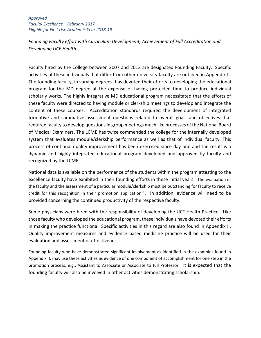<span id="page-4-0"></span>*Founding Faculty effort with Curriculum Development, Achievement of Full Accreditation and Developing UCF Health*

Faculty hired by the College between 2007 and 2013 are designated Founding Faculty. Specific activities of these individuals that differ from other university faculty are outlined in Appendix II. The founding faculty, in varying degrees, has devoted their efforts to developing the educational program for the MD degree at the expense of having protected time to produce individual scholarly works. The highly integrative MD educational program necessitated that the efforts of these faculty were directed to having module or clerkship meetings to develop and integrate the content of these courses. Accreditation standards required the development of integrated formative and summative assessment questions related to overall goals and objectives that required faculty to develop questions in group meetings much like processes of the National Board of Medical Examiners. The LCME has twice commended the college for the internally developed system that evaluates module/clerkship performance as well as that of individual faculty. This process of continual quality improvement has been exercised since day one and the result is a dynamic and highly integrated educational program developed and approved by faculty and recognized by the LCME.

National data is available on the performance of the students within the program attesting to the excellence faculty have exhibited in their founding efforts in these initial years. The evaluation of the faculty and the assessment of a particular module/clerkship must be outstanding for faculty to receive credit for this recognition in their promotion application.". In addition, evidence will need to be provided concerning the continued productivity of the respective faculty.

Some physicians were hired with the responsibility of developing the UCF Health Practice. Like those faculty who developed the educational program, these individuals have devoted their efforts in making the practice functional. Specific activities in this regard are also found in Appendix II. Quality improvement measures and evidence based medicine practice will be used for their evaluation and assessment of effectiveness.

Founding faculty who have demonstrated significant involvement as identified in the examples found in Appendix II, may use these activities as evidence of one component of accomplishment for one step in the promotion process, e.g., Assistant to Associate or Associate to full Professor. It is expected that the founding faculty will also be involved in other activities demonstrating scholarship.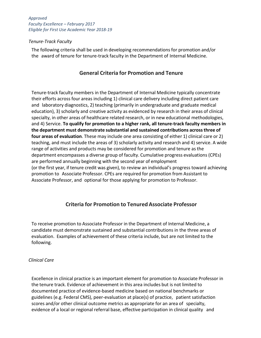## <span id="page-5-0"></span>*Tenure-Track Faculty*

<span id="page-5-1"></span>The following criteria shall be used in developing recommendations for promotion and/or the award of tenure for tenure-track faculty in the Department of Internal Medicine.

# **General Criteria for Promotion and Tenure**

Tenure-track faculty members in the Department of Internal Medicine typically concentrate their efforts across four areas including 1) clinical care delivery including direct patient care and laboratory diagnostics, 2) teaching (primarily in undergraduate and graduate medical education), 3) scholarly and creative activity as evidenced by research in their areas of clinical specialty, in other areas of healthcare related research, or in new educational methodologies, and 4) Service. **To qualify for promotion to a higher rank, all tenure‐track faculty members in the department must demonstrate substantial and sustained contributions acrossthree of four areas of evaluation**. These may include one area consisting of either 1) clinical care or 2) teaching, and must include the areas of 3) scholarly activity and research and 4) service. A wide range of activities and products may be considered for promotion and tenure as the department encompasses a diverse group of faculty. Cumulative progress evaluations (CPEs) are performed annually beginning with the second year of employment (or the first year, if tenure credit was given), to review an individual's progress toward achieving promotion to Associate Professor. CPEs are required for promotion from Assistant to Associate Professor, and optional for those applying for promotion to Professor.

# **Criteria for Promotion to Tenured Associate Professor**

<span id="page-5-2"></span>To receive promotion to Associate Professor in the Department of Internal Medicine, a candidate must demonstrate sustained and substantial contributions in the three areas of evaluation. Examples of achievement of these criteria include, but are not limited to the following.

## *Clinical Care*

Excellence in clinical practice is an important element for promotion to Associate Professor in the tenure track. Evidence of achievement in this area includes but is not limited to documented practice of evidence-based medicine based on national benchmarks or guidelines (e.g. Federal CMS), peer-evaluation at place(s) of practice, patient satisfaction scores and/or other clinical outcome metrics as appropriate for an area of specialty, evidence of a local or regional referral base, effective participation in clinical quality and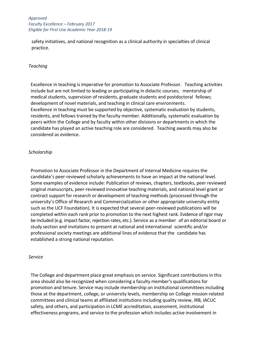safety initiatives, and national recognition as a clinical authority in specialties of clinical practice.

#### <span id="page-6-0"></span>*Teaching*

Excellence in teaching is imperative for promotion to Associate Professor. Teaching activities include but are not limited to leading or participating in didactic courses; mentorship of medical students, supervision of residents, graduate students and postdoctoral fellows; development of novel materials, and teaching in clinical care environments. Excellence in teaching must be supported by objective, systematic evaluation by students, residents, and fellows trained by the faculty member. Additionally, systematic evaluation by peers within the College and by faculty within other divisions or departments in which the candidate has played an active teaching role are considered. Teaching awards may also be considered as evidence.

## <span id="page-6-1"></span>*Scholarship*

Promotion to Associate Professor in the Department of Internal Medicine requires the candidate's peer-reviewed scholarly achievements to have an impact at the national level. Some examples of evidence include: Publication of reviews, chapters, textbooks, peer reviewed original manuscripts, peer-reviewed innovative teaching materials, and national level grant or contract support for research or development of teaching methods (processed through the university's Office of Research and Commercialization or other appropriate university entity such as the UCF Foundation). It is expected that several peer-reviewed publications will be completed within each rank prior to promotion to the next highest rank. Evidence of rigor may be included (e.g. impact factor, rejection rates, etc.). Service as a member of an editorial board or study section and invitations to present at national and international scientific and/or professional society meetings are additional lines of evidence that the candidate has established a strong national reputation.

#### <span id="page-6-2"></span>*Service*

The College and department place great emphasis on service. Significant contributions in this area should also be recognized when considering a faculty member's qualifications for promotion and tenure. Service may include membership on institutional committees including those at the department, college, or university levels, membership on College mission-related committees and clinical teams at affiliated institutions including quality review, IRB, IACUC safety, and others, and participation in LCME accreditation, assessment, institutional effectiveness programs, and service to the profession which includes active involvement in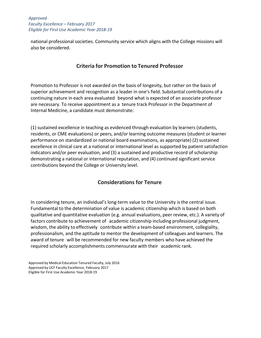national professional societies. Community service which aligns with the College missions will also be considered.

# **Criteria for Promotion to Tenured Professor**

<span id="page-7-0"></span>Promotion to Professor is not awarded on the basis of longevity, but rather on the basis of superior achievement and recognition as a leader in one's field. Substantial contributions of a continuing nature in each area evaluated beyond what is expected of an associate professor are necessary. To receive appointment as a tenure track Professor in the Department of Internal Medicine, a candidate must demonstrate:

(1) sustained excellence in teaching as evidenced through evaluation by learners (students, residents, or CME evaluations) or peers, and/or learning outcome measures (student or learner performance on standardized or national board examinations, as appropriate) (2) sustained excellence in clinical care at a national or international level as supported by patient satisfaction indicators and/or peer evaluation, and (3) a sustained and productive record of scholarship demonstrating a national or international reputation, and (4) continued significant service contributions beyond the College or University level.

# **Considerations for Tenure**

<span id="page-7-1"></span>In considering tenure, an individual's long-term value to the University is the central issue. Fundamental to the determination of value is academic citizenship which is based on both qualitative and quantitative evaluation (e.g. annual evaluations, peer review, etc.). A variety of factors contribute to achievement of academic citizenship including professional judgment, wisdom, the ability to effectively contribute within a team-based environment, collegiality, professionalism, and the aptitude to mentor the development of colleagues and learners. The award of tenure will be recommended for new faculty members who have achieved the required scholarly accomplishments commensurate with their academic rank.

Approved by Medical Education Tenured Faculty, July 2016 Approved by UCF Faculty Excellence, February 2017 Eligible for First Use Academic Year 2018-19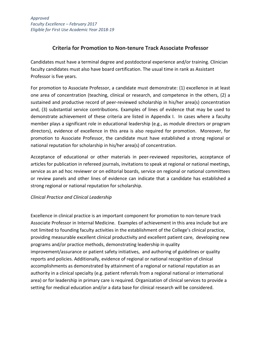# **Criteria for Promotion to Non-tenure Track Associate Professor**

<span id="page-8-0"></span>Candidates must have a terminal degree and postdoctoral experience and/or training. Clinician faculty candidates must also have board certification. The usual time in rank as Assistant Professor is five years.

For promotion to Associate Professor, a candidate must demonstrate: (1) excellence in at least one area of concentration (teaching, clinical or research, and competence in the others, (2) a sustained and productive record of peer-reviewed scholarship in his/her area(s) concentration and, (3) substantial service contributions. Examples of lines of evidence that may be used to demonstrate achievement of these criteria are listed in Appendix I. In cases where a faculty member plays a significant role in educational leadership (e.g., as module directors or program directors), evidence of excellence in this area is also required for promotion. Moreover, for promotion to Associate Professor, the candidate must have established a strong regional or national reputation for scholarship in his/her area(s) of concentration.

Acceptance of educational or other materials in peer-reviewed repositories, acceptance of articles for publication in refereed journals, invitations to speak at regional or national meetings, service as an ad hoc reviewer or on editorial boards, service on regional or national committees or review panels and other lines of evidence can indicate that a candidate has established a strong regional or national reputation for scholarship.

# <span id="page-8-1"></span>*Clinical Practice and Clinical Leadership*

Excellence in clinical practice is an important component for promotion to non-tenure track Associate Professor in Internal Medicine. Examples of achievement in this area include but are not limited to founding faculty activities in the establishment of the College's clinical practice, providing measurable excellent clinical productivity and excellent patient care, developing new programs and/or practice methods, demonstrating leadership in quality improvement/assurance or patient safety initiatives, and authoring of guidelines or quality reports and policies. Additionally, evidence of regional or national recognition of clinical accomplishments as demonstrated by attainment of a regional or national reputation as an authority in a clinical specialty (e.g. patient referrals from a regional national or international area) or for leadership in primary care is required. Organization of clinical services to provide a setting for medical education and/or a data base for clinical research will be considered.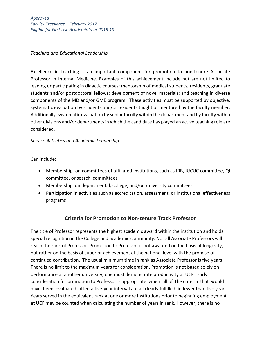## <span id="page-9-0"></span>*Teaching and Educational Leadership*

Excellence in teaching is an important component for promotion to non-tenure Associate Professor in Internal Medicine. Examples of this achievement include but are not limited to leading or participating in didactic courses; mentorship of medical students, residents, graduate students and/or postdoctoral fellows; development of novel materials; and teaching in diverse components of the MD and/or GME program. These activities must be supported by objective, systematic evaluation by students and/or residents taught or mentored by the faculty member. Additionally, systematic evaluation by senior faculty within the department and by faculty within other divisions and/or departments in which the candidate has played an active teaching role are considered.

## <span id="page-9-1"></span>*Service Activities and Academic Leadership*

Can include:

- Membership on committees of affiliated institutions, such as IRB, IUCUC committee, QI committee, or search committees
- Membership on departmental, college, and/or university committees
- Participation in activities such as accreditation, assessment, or institutional effectiveness programs

# **Criteria for Promotion to Non-tenure Track Professor**

<span id="page-9-2"></span>The title of Professor represents the highest academic award within the institution and holds special recognition in the College and academic community. Not all Associate Professors will reach the rank of Professor. Promotion to Professor is not awarded on the basis of longevity, but rather on the basis of superior achievement at the national level with the promise of continued contribution. The usual minimum time in rank as Associate Professor is five years. There is no limit to the maximum years for consideration. Promotion is not based solely on performance at another university; one must demonstrate productivity at UCF. Early consideration for promotion to Professor is appropriate when all of the criteria that would have been evaluated after a five-year interval are all clearly fulfilled in fewer than five years. Years served in the equivalent rank at one or more institutions prior to beginning employment at UCF may be counted when calculating the number of years in rank. However, there is no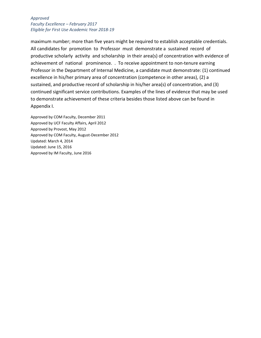maximum number; more than five years might be required to establish acceptable credentials. All candidates for promotion to Professor must demonstrate a sustained record of productive scholarly activity and scholarship in their area(s) of concentration with evidence of achievement of national prominence. . To receive appointment to non-tenure earning Professor in the Department of Internal Medicine, a candidate must demonstrate: (1) continued excellence in his/her primary area of concentration (competence in other areas), (2) a sustained, and productive record of scholarship in his/her area(s) of concentration, and (3) continued significant service contributions. Examples of the lines of evidence that may be used to demonstrate achievement of these criteria besides those listed above can be found in Appendix I.

Approved by COM Faculty, December 2011 Approved by UCF Faculty Affairs, April 2012 Approved by Provost, May 2012 Approved by COM Faculty, August-December 2012 Updated: March 4, 2014 Updated: June 15, 2016 Approved by IM Faculty, June 2016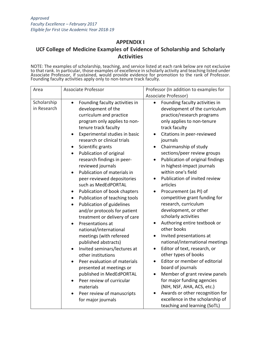## **APPENDIX I**

# <span id="page-11-0"></span>**UCF College of Medicine Examples of Evidence of Scholarship and Scholarly Activities**

NOTE: The examples of scholarship, teaching, and service listed at each rank below are not exclusive to that rank. In particular, those examples of excellence in scholarly activity and teaching listed under Associate Professor, if sustained, would provide evidence for promotion to the rank of Professor. Founding faculty activities apply only to non-tenure track faculty.

| Area                       | <b>Associate Professor</b>                                                                                                                                                                                                                                                                                                                                                                                                                                                                                                                                                                                                                                                                                                                                                                                                                                                                                                                                                               | Professor (In addition to examples for<br>Associate Professor)                                                                                                                                                                                                                                                                                                                                                                                                                                                                                                                                                                                                                                                                                                                                                                                                                                                                                                                                 |
|----------------------------|------------------------------------------------------------------------------------------------------------------------------------------------------------------------------------------------------------------------------------------------------------------------------------------------------------------------------------------------------------------------------------------------------------------------------------------------------------------------------------------------------------------------------------------------------------------------------------------------------------------------------------------------------------------------------------------------------------------------------------------------------------------------------------------------------------------------------------------------------------------------------------------------------------------------------------------------------------------------------------------|------------------------------------------------------------------------------------------------------------------------------------------------------------------------------------------------------------------------------------------------------------------------------------------------------------------------------------------------------------------------------------------------------------------------------------------------------------------------------------------------------------------------------------------------------------------------------------------------------------------------------------------------------------------------------------------------------------------------------------------------------------------------------------------------------------------------------------------------------------------------------------------------------------------------------------------------------------------------------------------------|
| Scholarship<br>in Research | Founding faculty activities in<br>$\bullet$<br>development of the<br>curriculum and practice<br>program only applies to non-<br>tenure track faculty<br>Experimental studies in basic<br>research or clinical trials<br>Scientific grants<br>Publication of original<br>$\bullet$<br>research findings in peer-<br>reviewed journals<br>Publication of materials in<br>peer-reviewed depositories<br>such as MedEdPORTAL<br>Publication of book chapters<br>$\bullet$<br>Publication of teaching tools<br>$\bullet$<br>Publication of guidelines<br>$\bullet$<br>and/or protocols for patient<br>treatment or delivery of care<br>Presentations at<br>national/international<br>meetings (with refereed<br>published abstracts)<br>Invited seminars/lectures at<br>$\bullet$<br>other institutions<br>Peer evaluation of materials<br>presented at meetings or<br>published in MedEdPORTAL<br>Peer review of curricular<br>materials<br>Peer review of manuscripts<br>for major journals | Founding faculty activities in<br>$\bullet$<br>development of the curriculum<br>practice/research programs<br>only applies to non-tenure<br>track faculty<br>Citations in peer-reviewed<br>journals<br>Chairmanship of study<br>sections/peer review groups<br>Publication of original findings<br>in highest-impact journals<br>within one's field<br>Publication of invited review<br>articles<br>Procurement (as PI) of<br>$\bullet$<br>competitive grant funding for<br>research, curriculum<br>development, or other<br>scholarly activities<br>Authoring entire textbook or<br>other books<br>Invited presentations at<br>national/international meetings<br>Editor of text, research, or<br>$\bullet$<br>other types of books<br>Editor or member of editorial<br>board of journals<br>Member of grant review panels<br>for major funding agencies<br>(NIH, NSF, AHA, ACS, etc.)<br>Awards or other recognition for<br>excellence in the scholarship of<br>teaching and learning (SoTL) |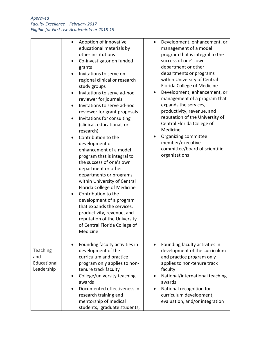|                                              | Adoption of innovative<br>educational materials by<br>other institutions<br>Co-investigator on funded<br>grants<br>Invitations to serve on<br>regional clinical or research<br>study groups<br>Invitations to serve ad-hoc<br>reviewer for journals<br>Invitations to serve ad-hoc<br>reviewer for grant proposals<br>Invitations for consulting<br>(clinical, educational, or<br>research)<br>Contribution to the<br>$\bullet$<br>development or<br>enhancement of a model<br>program that is integral to<br>the success of one's own<br>department or other<br>departments or programs<br>within University of Central<br>Florida College of Medicine<br>Contribution to the<br>$\bullet$<br>development of a program<br>that expands the services,<br>productivity, revenue, and<br>reputation of the University<br>of Central Florida College of<br>Medicine | Development, enhancement, or<br>$\bullet$<br>management of a model<br>program that is integral to the<br>success of one's own<br>department or other<br>departments or programs<br>within University of Central<br>Florida College of Medicine<br>Development, enhancement, or<br>management of a program that<br>expands the services,<br>productivity, revenue, and<br>reputation of the University of<br>Central Florida College of<br>Medicine<br>Organizing committee<br>member/executive<br>committee/board of scientific<br>organizations |
|----------------------------------------------|------------------------------------------------------------------------------------------------------------------------------------------------------------------------------------------------------------------------------------------------------------------------------------------------------------------------------------------------------------------------------------------------------------------------------------------------------------------------------------------------------------------------------------------------------------------------------------------------------------------------------------------------------------------------------------------------------------------------------------------------------------------------------------------------------------------------------------------------------------------|--------------------------------------------------------------------------------------------------------------------------------------------------------------------------------------------------------------------------------------------------------------------------------------------------------------------------------------------------------------------------------------------------------------------------------------------------------------------------------------------------------------------------------------------------|
| Teaching<br>and<br>Educational<br>Leadership | Founding faculty activities in<br>$\bullet$<br>development of the<br>curriculum and practice<br>program only applies to non-<br>tenure track faculty<br>College/university teaching<br>awards<br>Documented effectiveness in<br>research training and<br>mentorship of medical<br>students, graduate students,                                                                                                                                                                                                                                                                                                                                                                                                                                                                                                                                                   | Founding faculty activities in<br>$\bullet$<br>development of the curriculum<br>and practice program only<br>applies to non-tenure track<br>faculty<br>National/international teaching<br>awards<br>National recognition for<br>curriculum development,<br>evaluation, and/or integration                                                                                                                                                                                                                                                        |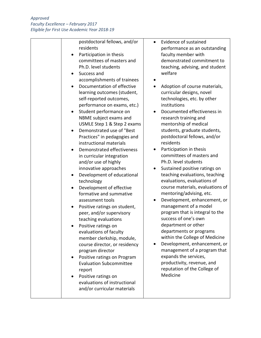| postdoctoral fellows, and/or   | Evide       |
|--------------------------------|-------------|
| residents                      | perfo       |
| Participation in thesis        | facul       |
| committees of masters and      | dem         |
| Ph.D. level students           | teacl       |
| Success and                    | welfa       |
| accomplishments of trainees    |             |
| Documentation of effective     | Adop        |
| learning outcomes (student,    | curri       |
| self-reported outcomes,        | tech        |
| performance on exams, etc.)    | instit      |
| Student performance on         | Docu        |
| NBME subject exams and         | resea       |
| USMLE Step 1 & Step 2 exams    | men         |
| Demonstrated use of "Best      | stud        |
| Practices" in pedagogies and   | post        |
| instructional materials        | resid       |
| Demonstrated effectiveness     | Parti       |
| in curricular integration      | com         |
| and/or use of highly           | Ph.D        |
| innovative approaches          | Susta       |
| Development of educational     | teacl       |
| technology                     | evalu       |
| Development of effective       | cour        |
| formative and summative        | men         |
| assessment tools               | Deve        |
| Positive ratings on student,   | man         |
| peer, and/or supervisory       | prog        |
| teaching evaluations           | <b>SUCC</b> |
|                                | depa        |
| Positive ratings on            | depa        |
| evaluations of faculty         | with        |
| member clerkship, module,      | Deve        |
| course director, or residency  |             |
| program director               | man         |
| Positive ratings on Program    | expa        |
| <b>Evaluation Subcommittee</b> | prod        |
| report                         | repu        |
| Positive ratings on            | Med         |
| evaluations of instructional   |             |
| and/or curricular materials    |             |
|                                |             |

- ence of sustained ormance as an outstanding Ity member with onstrated commitment to hing, advising, and student are
- ption of course materials, icular designs, novel nologies, etc. by other tutions
- umented effectiveness in arch training and torship of medical ents, graduate students, doctoral fellows, and/or lents
- icipation in thesis mittees of masters and . level students
- ained positive ratings on hing evaluations, teaching uations, evaluations of se materials, evaluations of toring/advising, etc.
- elopment, enhancement, or agement of a model ram that is integral to the ess of one's own artment or other artments or programs in the College of Medicine
- elopment, enhancement, or agement of a program that nds the services, luctivity, revenue, and tation of the College of licine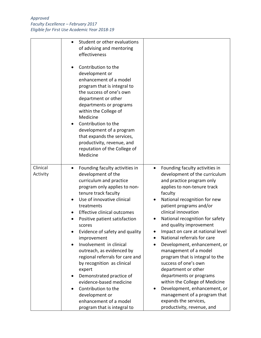|                      | Student or other evaluations<br>$\bullet$<br>of advising and mentoring<br>effectiveness<br>Contribution to the<br>development or<br>enhancement of a model<br>program that is integral to<br>the success of one's own<br>department or other<br>departments or programs<br>within the College of<br>Medicine<br>Contribution to the<br>development of a program<br>that expands the services,<br>productivity, revenue, and<br>reputation of the College of<br>Medicine                                                                                                                                                                                |                                                                                                                                                                                                                                                                                                                                                                                                                                                                                                                                                                                                                                                                                                       |
|----------------------|--------------------------------------------------------------------------------------------------------------------------------------------------------------------------------------------------------------------------------------------------------------------------------------------------------------------------------------------------------------------------------------------------------------------------------------------------------------------------------------------------------------------------------------------------------------------------------------------------------------------------------------------------------|-------------------------------------------------------------------------------------------------------------------------------------------------------------------------------------------------------------------------------------------------------------------------------------------------------------------------------------------------------------------------------------------------------------------------------------------------------------------------------------------------------------------------------------------------------------------------------------------------------------------------------------------------------------------------------------------------------|
| Clinical<br>Activity | Founding faculty activities in<br>٠<br>development of the<br>curriculum and practice<br>program only applies to non-<br>tenure track faculty<br>Use of innovative clinical<br>$\bullet$<br>treatments<br>Effective clinical outcomes<br>Positive patient satisfaction<br>scores<br>Evidence of safety and quality<br>improvement<br>Involvement in clinical<br>outreach, as evidenced by<br>regional referrals for care and<br>by recognition as clinical<br>expert<br>Demonstrated practice of<br>$\bullet$<br>evidence-based medicine<br>Contribution to the<br>$\bullet$<br>development or<br>enhancement of a model<br>program that is integral to | Founding faculty activities in<br>$\bullet$<br>development of the curriculum<br>and practice program only<br>applies to non-tenure track<br>faculty<br>National recognition for new<br>patient programs and/or<br>clinical innovation<br>National recognition for safety<br>and quality improvement<br>Impact on care at national level<br>National referrals for care<br>Development, enhancement, or<br>management of a model<br>program that is integral to the<br>success of one's own<br>department or other<br>departments or programs<br>within the College of Medicine<br>Development, enhancement, or<br>management of a program that<br>expands the services,<br>productivity, revenue, and |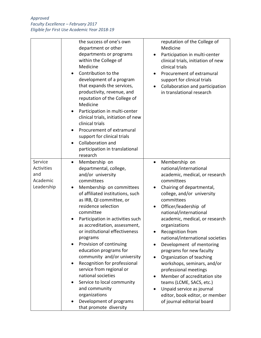|                                                        | the success of one's own<br>department or other<br>departments or programs<br>within the College of<br>Medicine<br>Contribution to the<br>development of a program<br>that expands the services,<br>productivity, revenue, and<br>reputation of the College of<br>Medicine<br>Participation in multi-center<br>$\bullet$<br>clinical trials, initiation of new<br>clinical trials<br>Procurement of extramural<br>support for clinical trials<br><b>Collaboration and</b><br>participation in translational<br>research                                                                                                                                                                   | reputation of the College of<br>Medicine<br>Participation in multi-center<br>$\bullet$<br>clinical trials, initiation of new<br>clinical trials<br>Procurement of extramural<br>support for clinical trials<br>Collaboration and participation<br>in translational research                                                                                                                                                                                                                                                                                                                                                                                   |
|--------------------------------------------------------|-------------------------------------------------------------------------------------------------------------------------------------------------------------------------------------------------------------------------------------------------------------------------------------------------------------------------------------------------------------------------------------------------------------------------------------------------------------------------------------------------------------------------------------------------------------------------------------------------------------------------------------------------------------------------------------------|---------------------------------------------------------------------------------------------------------------------------------------------------------------------------------------------------------------------------------------------------------------------------------------------------------------------------------------------------------------------------------------------------------------------------------------------------------------------------------------------------------------------------------------------------------------------------------------------------------------------------------------------------------------|
| Service<br>Activities<br>and<br>Academic<br>Leadership | Membership on<br>$\bullet$<br>departmental, college,<br>and/or university<br>committees<br>Membership on committees<br>$\bullet$<br>of affiliated institutions, such<br>as IRB, QI committee, or<br>residence selection<br>committee<br>Participation in activities such<br>as accreditation, assessment,<br>or institutional effectiveness<br>programs<br>Provision of continuing<br>$\bullet$<br>education programs for<br>community and/or university<br>Recognition for professional<br>$\bullet$<br>service from regional or<br>national societies<br>Service to local community<br>$\bullet$<br>and community<br>organizations<br>Development of programs<br>that promote diversity | Membership on<br>$\bullet$<br>national/international<br>academic, medical, or research<br>committees<br>Chairing of departmental,<br>$\bullet$<br>college, and/or university<br>committees<br>Officer/leadership of<br>national/international<br>academic, medical, or research<br>organizations<br>Recognition from<br>national/international societies<br>Development of mentoring<br>programs for new faculty<br>Organization of teaching<br>workshops, seminars, and/or<br>professional meetings<br>Member of accreditation site<br>teams (LCME, SACS, etc.)<br>Unpaid service as journal<br>editor, book editor, or member<br>of journal editorial board |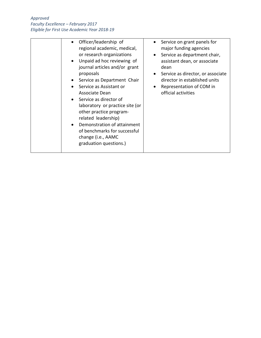| Officer/leadership of                    | Service on grant panels for       |
|------------------------------------------|-----------------------------------|
| regional academic, medical,              | major funding agencies            |
| or research organizations                | Service as department chair,      |
| Unpaid ad hoc reviewing of<br>$\bullet$  | assistant dean, or associate      |
| journal articles and/or grant            | dean                              |
| proposals                                | Service as director, or associate |
| Service as Department Chair<br>$\bullet$ | director in established units     |
| Service as Assistant or                  | Representation of COM in          |
| Associate Dean                           | official activities               |
| Service as director of<br>$\bullet$      |                                   |
| laboratory or practice site (or          |                                   |
| other practice program-                  |                                   |
|                                          |                                   |
| related leadership)                      |                                   |
| Demonstration of attainment<br>$\bullet$ |                                   |
| of benchmarks for successful             |                                   |
| change (i.e., AAMC                       |                                   |
| graduation questions.)                   |                                   |
|                                          |                                   |
|                                          |                                   |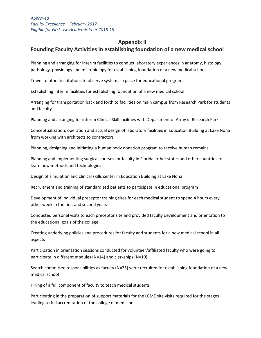## <span id="page-17-0"></span> **Appendix II**

# **Founding Faculty Activities in establishing foundation of a new medical school**

Planning and arranging for interim facilities to conduct laboratory experiences in anatomy, histology, pathology, physiology and microbiology for establishing foundation of a new medical school

Travel to other institutions to observe systems in place for educational programs

Establishing interim facilities for establishing foundation of a new medical school

Arranging for transportation back and forth to facilities on main campus from Research Park for students and faculty

Planning and arranging for interim Clinical Skill facilities with Department of Army in Research Park

Conceptualization, operation and actual design of laboratory facilities in Education Building at Lake Nona from working with architects to contractors

Planning, designing and initiating a human body donation program to receive human remains

Planning and implementing surgical courses for faculty in Florida, other states and other countries to learn new methods and technologies

Design of simulation and clinical skills center in Education Building at Lake Nona

Recruitment and training of standardized patients to participate in educational program

Development of individual preceptor training sites for each medical student to spend 4 hours every other week in the first and second years

Conducted personal visits to each preceptor site and provided faculty development and orientation to the educational goals of the college

Creating underlying policies and procedures for faculty and students for a new medical school in all aspects

Participation in orientation sessions conducted for volunteer/affiliated faculty who were going to participate in different modules (N=14) and clerkships (N=10)

Search committee responsibilities as faculty (N=25) were recruited for establishing foundation of a new medical school

Hiring of a full component of faculty to teach medical students

Participating in the preparation of support materials for the LCME site visits required for the stages leading to full accreditation of the college of medicine